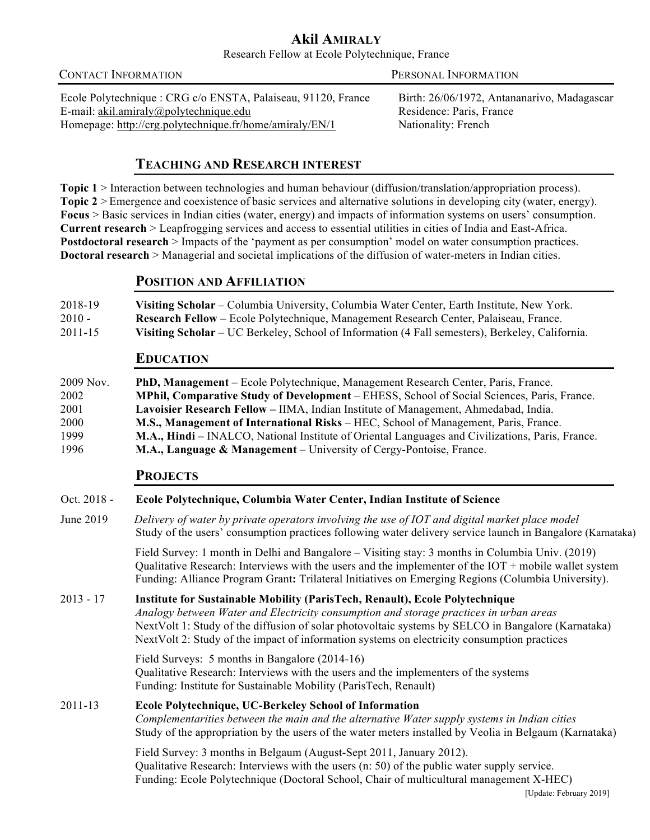# **Akil AMIRALY** Research Fellow at Ecole Polytechnique, France

CONTACT INFORMATIONPERSONAL INFORMATION Ecole Polytechnique : CRG c/o ENSTA, Palaiseau, 91120, France Birth: 26/06/1972, Antananarivo, Madagascar E-mail: akil.amiraly@polytechnique.edu Residence: Paris, France Homepage: http://crg.polytechnique.fr/home/amiraly/EN/1 Nationality: French

# **TEACHING AND RESEARCH INTEREST**

**Topic** 1 > Interaction between technologies and human behaviour (diffusion/translation/appropriation process). **Topic 2** > Emergence and coexistence of basic services and alternative solutions in developing city (water, energy). **Focus** > Basic services in Indian cities (water, energy) and impacts of information systems on users' consumption. **Current research** > Leapfrogging services and access to essential utilities in cities of India and East-Africa. **Postdoctoral research** > Impacts of the 'payment as per consumption' model on water consumption practices. **Doctoral research** > Managerial and societal implications of the diffusion of water-meters in Indian cities.

# **POSITION AND AFFILIATION**

| 2018-19  | Visiting Scholar – Columbia University, Columbia Water Center, Earth Institute, New York.       |
|----------|-------------------------------------------------------------------------------------------------|
| $2010 -$ | <b>Research Fellow</b> – Ecole Polytechnique, Management Research Center, Palaiseau, France.    |
| 2011-15  | Visiting Scholar – UC Berkeley, School of Information (4 Fall semesters), Berkeley, California. |

# **EDUCATION**

| 2009 Nov. | PhD, Management – Ecole Polytechnique, Management Research Center, Paris, France.                       |
|-----------|---------------------------------------------------------------------------------------------------------|
| 2002      | <b>MPhil, Comparative Study of Development</b> – EHESS, School of Social Sciences, Paris, France.       |
| 2001      | Lavoisier Research Fellow – IIMA, Indian Institute of Management, Ahmedabad, India.                     |
| 2000      | <b>M.S., Management of International Risks</b> – HEC, School of Management, Paris, France.              |
| 1999      | <b>M.A., Hindi</b> – INALCO, National Institute of Oriental Languages and Civilizations, Paris, France. |
| 1996      | <b>M.A., Language &amp; Management</b> – University of Cergy-Pontoise, France.                          |

# **PROJECTS**

# Oct. 2018 - **Ecole Polytechnique, Columbia Water Center, Indian Institute of Science**

June 2019 *Delivery of water by private operators involving the use of IOT and digital market place model* Study of the users' consumption practices following water delivery service launch in Bangalore (Karnataka)

> Field Survey: 1 month in Delhi and Bangalore – Visiting stay: 3 months in Columbia Univ. (2019) Qualitative Research: Interviews with the users and the implementer of the IOT + mobile wallet system Funding: Alliance Program Grant**:** Trilateral Initiatives on Emerging Regions (Columbia University).

2013 - 17 **Institute for Sustainable Mobility (ParisTech, Renault), Ecole Polytechnique**  *Analogy between Water and Electricity consumption and storage practices in urban areas* NextVolt 1: Study of the diffusion of solar photovoltaic systems by SELCO in Bangalore (Karnataka) NextVolt 2: Study of the impact of information systems on electricity consumption practices

> Field Surveys: 5 months in Bangalore (2014-16) Qualitative Research: Interviews with the users and the implementers of the systems Funding: Institute for Sustainable Mobility (ParisTech, Renault)

# 2011-13 **Ecole Polytechnique, UC-Berkeley School of Information**

*Complementarities between the main and the alternative Water supply systems in Indian cities* Study of the appropriation by the users of the water meters installed by Veolia in Belgaum (Karnataka)

Field Survey: 3 months in Belgaum (August-Sept 2011, January 2012). Qualitative Research: Interviews with the users (n: 50) of the public water supply service. Funding: Ecole Polytechnique (Doctoral School, Chair of multicultural management X-HEC)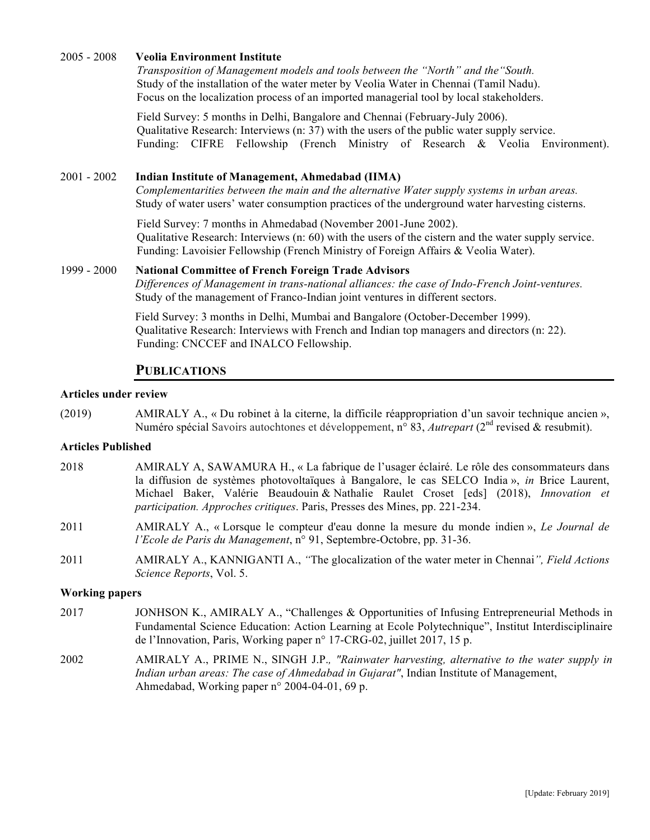## 2005 - 2008 **Veolia Environment Institute**

*Transposition of Management models and tools between the "North" and the"South.* Study of the installation of the water meter by Veolia Water in Chennai (Tamil Nadu). Focus on the localization process of an imported managerial tool by local stakeholders.

Field Survey: 5 months in Delhi, Bangalore and Chennai (February-July 2006). Qualitative Research: Interviews (n: 37) with the users of the public water supply service. Funding: CIFRE Fellowship (French Ministry of Research & Veolia Environment).

## 2001 - 2002 **Indian Institute of Management, Ahmedabad (IIMA)**

*Complementarities between the main and the alternative Water supply systems in urban areas.*  Study of water users' water consumption practices of the underground water harvesting cisterns.

Field Survey: 7 months in Ahmedabad (November 2001-June 2002). Qualitative Research: Interviews (n: 60) with the users of the cistern and the water supply service. Funding: Lavoisier Fellowship (French Ministry of Foreign Affairs & Veolia Water).

## 1999 - 2000 **National Committee of French Foreign Trade Advisors**

*Differences of Management in trans-national alliances: the case of Indo-French Joint-ventures.*  Study of the management of Franco-Indian joint ventures in different sectors.

Field Survey: 3 months in Delhi, Mumbai and Bangalore (October-December 1999). Qualitative Research: Interviews with French and Indian top managers and directors (n: 22). Funding: CNCCEF and INALCO Fellowship.

# **PUBLICATIONS**

### **Articles under review**

(2019) AMIRALY A., « Du robinet à la citerne, la difficile réappropriation d'un savoir technique ancien », Numéro spécial Savoirs autochtones et développement, n° 83, *Autrepart* (2nd revised & resubmit).

### **Articles Published**

- 2018 AMIRALY A, SAWAMURA H., « La fabrique de l'usager éclairé. Le rôle des consommateurs dans la diffusion de systèmes photovoltaïques à Bangalore, le cas SELCO India », *in* Brice Laurent, Michael Baker, Valérie Beaudouin & Nathalie Raulet Croset [eds] (2018), *Innovation et participation. Approches critiques*. Paris, Presses des Mines, pp. 221-234.
- 2011 AMIRALY A., « Lorsque le compteur d'eau donne la mesure du monde indien », *Le Journal de l'Ecole de Paris du Management*, n° 91, Septembre-Octobre, pp. 31-36.
- 2011 AMIRALY A., KANNIGANTI A., *"*The glocalization of the water meter in Chennai*", Field Actions Science Reports*, Vol. 5.

## **Working papers**

- 2017 JONHSON K., AMIRALY A., "Challenges & Opportunities of Infusing Entrepreneurial Methods in Fundamental Science Education: Action Learning at Ecole Polytechnique", Institut Interdisciplinaire de l'Innovation, Paris, Working paper n° 17-CRG-02, juillet 2017, 15 p.
- 2002 AMIRALY A., PRIME N., SINGH J.P.*, "Rainwater harvesting, alternative to the water supply in Indian urban areas: The case of Ahmedabad in Gujarat"*, Indian Institute of Management, Ahmedabad, Working paper n° 2004-04-01, 69 p.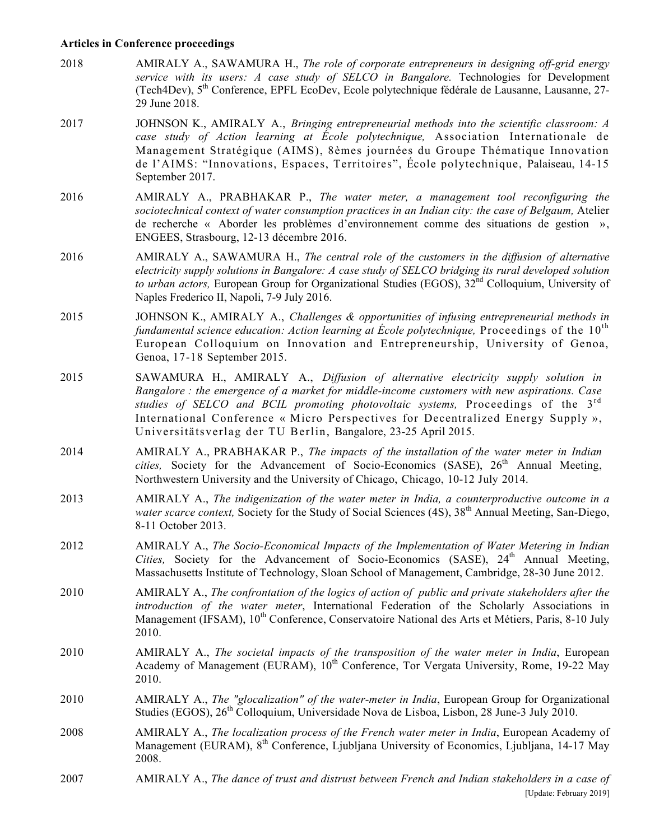#### **Articles in Conference proceedings**

- 2018 AMIRALY A., SAWAMURA H., *The role of corporate entrepreneurs in designing off-grid energy service with its users: A case study of SELCO in Bangalore.* Technologies for Development (Tech4Dev), 5th Conference, EPFL EcoDev, Ecole polytechnique fédérale de Lausanne, Lausanne, 27- 29 June 2018.
- 2017 JOHNSON K., AMIRALY A., *Bringing entrepreneurial methods into the scientific classroom: A case study of Action learning at École polytechnique,* Association Internationale de Management Stratégique (AIMS), 8èmes journées du Groupe Thématique Innovation de l'AIMS: "Innovations, Espaces, Territoires", École polytechnique, Palaiseau, 14-15 September 2017.
- 2016 AMIRALY A., PRABHAKAR P., *The water meter, a management tool reconfiguring the sociotechnical context of water consumption practices in an Indian city: the case of Belgaum,* Atelier de recherche « Aborder les problèmes d'environnement comme des situations de gestion », ENGEES, Strasbourg, 12-13 décembre 2016.
- 2016 AMIRALY A., SAWAMURA H., *The central role of the customers in the diffusion of alternative electricity supply solutions in Bangalore: A case study of SELCO bridging its rural developed solution to urban actors,* European Group for Organizational Studies (EGOS),  $32<sup>nd</sup>$  Colloquium, University of Naples Frederico II, Napoli, 7-9 July 2016.
- 2015 JOHNSON K., AMIRALY A., *Challenges & opportunities of infusing entrepreneurial methods in fundamental science education: Action learning at Ecole polytechnique,* Proceedings of the  $10^{th}$ European Colloquium on Innovation and Entrepreneurship, University of Genoa, Genoa, 17-18 September 2015.
- 2015 SAWAMURA H., AMIRALY A., *Diffusion of alternative electricity supply solution in Bangalore : the emergence of a market for middle-income customers with new aspirations. Case studies of SELCO and BCIL promoting photovoltaic systems,* Proceedings of the 3rd International Conference « Micro Perspectives for Decentralized Energy Supply », Universitätsverlag der TU Berlin, Bangalore, 23-25 April 2015.
- 2014 AMIRALY A., PRABHAKAR P., *The impacts of the installation of the water meter in Indian cities,* Society for the Advancement of Socio-Economics (SASE), 26<sup>th</sup> Annual Meeting, Northwestern University and the University of Chicago, Chicago, 10-12 July 2014.
- 2013 AMIRALY A., *The indigenization of the water meter in India, a counterproductive outcome in a water scarce context, Society for the Study of Social Sciences (4S), 38<sup>th</sup> Annual Meeting, San-Diego,* 8-11 October 2013.
- 2012 AMIRALY A., *The Socio-Economical Impacts of the Implementation of Water Metering in Indian Cities,* Society for the Advancement of Socio-Economics (SASE), 24<sup>th</sup> Annual Meeting, Massachusetts Institute of Technology, Sloan School of Management, Cambridge, 28-30 June 2012.
- 2010 AMIRALY A., *The confrontation of the logics of action of public and private stakeholders after the introduction of the water meter*, International Federation of the Scholarly Associations in Management (IFSAM), 10<sup>th</sup> Conference, Conservatoire National des Arts et Métiers, Paris, 8-10 July 2010.
- 2010 AMIRALY A., *The societal impacts of the transposition of the water meter in India*, European Academy of Management (EURAM),  $10^{th}$  Conference, Tor Vergata University, Rome, 19-22 May 2010.
- 2010 AMIRALY A., *The "glocalization" of the water-meter in India*, European Group for Organizational Studies (EGOS), 26<sup>th</sup> Colloquium, Universidade Nova de Lisboa, Lisbon, 28 June-3 July 2010.
- 2008 AMIRALY A., *The localization process of the French water meter in India*, European Academy of Management (EURAM), 8<sup>th</sup> Conference, Ljubljana University of Economics, Ljubljana, 14-17 May 2008.
- [Update: February 2019] 2007 AMIRALY A., *The dance of trust and distrust between French and Indian stakeholders in a case of*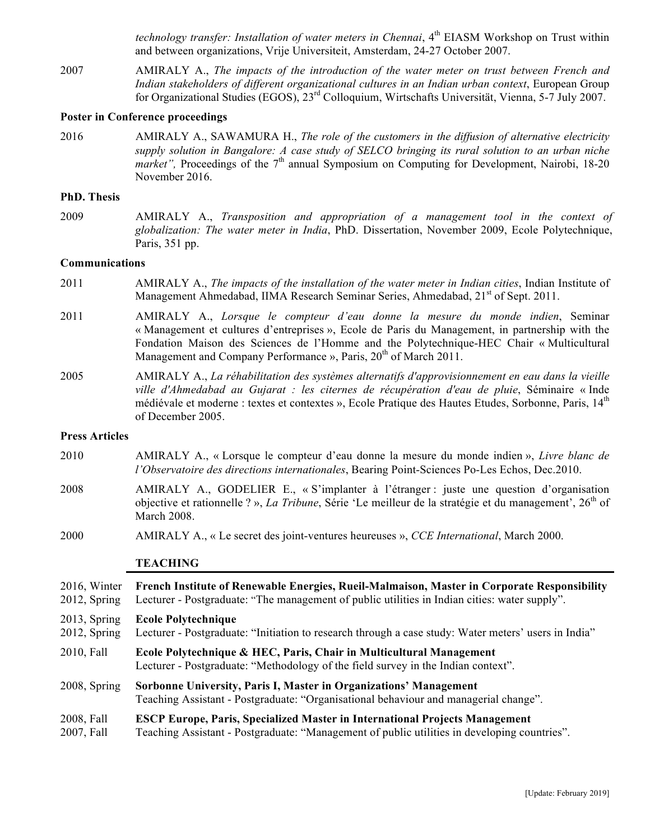*technology transfer: Installation of water meters in Chennai*, 4<sup>th</sup> EIASM Workshop on Trust within and between organizations, Vrije Universiteit, Amsterdam, 24-27 October 2007.

2007 AMIRALY A., *The impacts of the introduction of the water meter on trust between French and Indian stakeholders of different organizational cultures in an Indian urban context*, European Group for Organizational Studies (EGOS), 23rd Colloquium, Wirtschafts Universität, Vienna, 5-7 July 2007.

#### **Poster in Conference proceedings**

2016 AMIRALY A., SAWAMURA H., *The role of the customers in the diffusion of alternative electricity supply solution in Bangalore: A case study of SELCO bringing its rural solution to an urban niche market"*, Proceedings of the 7<sup>th</sup> annual Symposium on Computing for Development, Nairobi, 18-20 November 2016.

#### **PhD. Thesis**

2009 AMIRALY A., *Transposition and appropriation of a management tool in the context of globalization: The water meter in India*, PhD. Dissertation, November 2009, Ecole Polytechnique, Paris, 351 pp.

### **Communications**

- 2011 AMIRALY A., *The impacts of the installation of the water meter in Indian cities*, Indian Institute of Management Ahmedabad, IIMA Research Seminar Series, Ahmedabad, 21<sup>st</sup> of Sept. 2011.
- 2011 AMIRALY A., *Lorsque le compteur d'eau donne la mesure du monde indien*, Seminar « Management et cultures d'entreprises », Ecole de Paris du Management, in partnership with the Fondation Maison des Sciences de l'Homme and the Polytechnique-HEC Chair « Multicultural Management and Company Performance », Paris,  $20<sup>th</sup>$  of March 2011.
- 2005 AMIRALY A., *La réhabilitation des systèmes alternatifs d'approvisionnement en eau dans la vieille ville d'Ahmedabad au Gujarat : les citernes de récupération d'eau de pluie*, Séminaire « Inde médiévale et moderne : textes et contextes », Ecole Pratique des Hautes Etudes, Sorbonne, Paris, 14th of December 2005.

#### **Press Articles**

- 2010 AMIRALY A., « Lorsque le compteur d'eau donne la mesure du monde indien », *Livre blanc de l'Observatoire des directions internationales*, Bearing Point-Sciences Po-Les Echos, Dec.2010.
- 2008 AMIRALY A., GODELIER E., « S'implanter à l'étranger : juste une question d'organisation objective et rationnelle ? », *La Tribune*, Série 'Le meilleur de la stratégie et du management', 26<sup>th</sup> of March 2008.
- 2000 AMIRALY A., « Le secret des joint-ventures heureuses », *CCE International*, March 2000.

#### **TEACHING**

| 2016, Winter    | French Institute of Renewable Energies, Rueil-Malmaison, Master in Corporate Responsibility                                                               |  |
|-----------------|-----------------------------------------------------------------------------------------------------------------------------------------------------------|--|
| $2012$ , Spring | Lecturer - Postgraduate: "The management of public utilities in Indian cities: water supply".                                                             |  |
| $2013$ , Spring | <b>Ecole Polytechnique</b>                                                                                                                                |  |
| $2012$ , Spring | Lecturer - Postgraduate: "Initiation to research through a case study: Water meters' users in India"                                                      |  |
| 2010, Fall      | Ecole Polytechnique & HEC, Paris, Chair in Multicultural Management<br>Lecturer - Postgraduate: "Methodology of the field survey in the Indian context".  |  |
| 2008, Spring    | Sorbonne University, Paris I, Master in Organizations' Management<br>Teaching Assistant - Postgraduate: "Organisational behaviour and managerial change". |  |
| 2008, Fall      | <b>ESCP Europe, Paris, Specialized Master in International Projects Management</b>                                                                        |  |
| 2007, Fall      | Teaching Assistant - Postgraduate: "Management of public utilities in developing countries".                                                              |  |